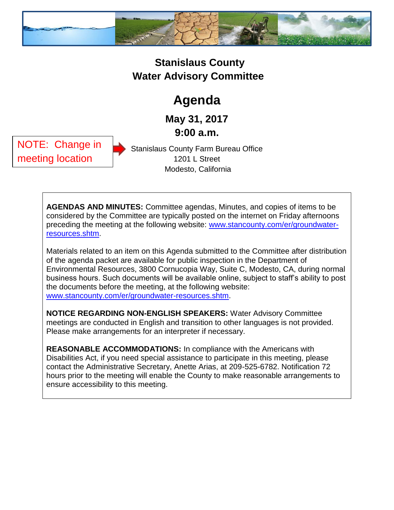

## **Stanislaus County Water Advisory Committee**

## **Agenda**

**May 31, 2017 9:00 a.m.**

NOTE: Change in meeting location

Stanislaus County Farm Bureau Office 1201 L Street Modesto, California

**AGENDAS AND MINUTES:** Committee agendas, Minutes, and copies of items to be considered by the Committee are typically posted on the internet on Friday afternoons preceding the meeting at the following website: [www.stancounty.com/er/groundwater](http://www.stancounty.com/er/groundwater-resources.shtm)[resources.shtm.](http://www.stancounty.com/er/groundwater-resources.shtm)

Materials related to an item on this Agenda submitted to the Committee after distribution of the agenda packet are available for public inspection in the Department of Environmental Resources, 3800 Cornucopia Way, Suite C, Modesto, CA, during normal business hours. Such documents will be available online, subject to staff's ability to post the documents before the meeting, at the following website: [www.stancounty.com/er/groundwater-resources.shtm.](http://www.stancounty.com/er/groundwater-resources.shtm)

**NOTICE REGARDING NON-ENGLISH SPEAKERS:** Water Advisory Committee meetings are conducted in English and transition to other languages is not provided. Please make arrangements for an interpreter if necessary.

**REASONABLE ACCOMMODATIONS:** In compliance with the Americans with Disabilities Act, if you need special assistance to participate in this meeting, please contact the Administrative Secretary, Anette Arias, at 209-525-6782. Notification 72 hours prior to the meeting will enable the County to make reasonable arrangements to ensure accessibility to this meeting.